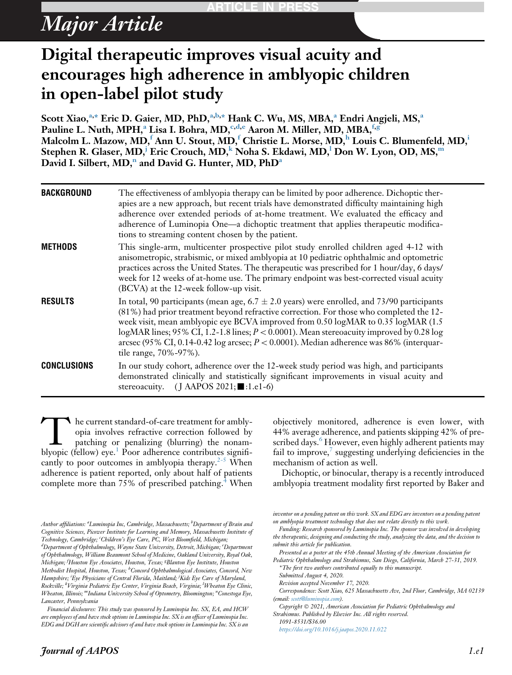# Major Article

# Digital therapeutic improves visual acuity and encourages high adherence in amblyopic children in open-label pilot study

Scott Xiao,<sup>a,[\\*](#page-0-0)</sup> Eric D. Gaier, MD, PhD,<sup>a,b,\*</sup> Hank C. Wu, MS, MBA,<sup>a</sup> Endri Angjeli, MS,<sup>a</sup> Pauline L. Nuth, MPH,<sup>a</sup> Lisa I. Bohra, MD,  $c,d,e$  $c,d,e$  $c,d,e$  Aaron M. Miller, MD, MBA,  $f,g$ Malcolm L. Mazow, MD,<sup>f</sup> Ann U. Stout, MD,<sup>f</sup> Christie L. Morse, MD,<sup>h</sup> Louis C. Blumenfeld, MD,<sup>i</sup> Stephen R. Glaser, MD,<sup>j</sup> Eric Crouch, MD,<sup>k</sup> Noha S. Ekdawi, MD,<sup>l</sup> Don W. Lyon, OD, MS,<sup>m</sup> David I. Silbert, MD,<sup>n</sup> and David G. Hunter, MD, PhD<sup>a</sup>

| <b>BACKGROUND</b>  | The effectiveness of amblyopia therapy can be limited by poor adherence. Dichoptic ther-<br>apies are a new approach, but recent trials have demonstrated difficulty maintaining high<br>adherence over extended periods of at-home treatment. We evaluated the efficacy and<br>adherence of Luminopia One-a dichoptic treatment that applies therapeutic modifica-<br>tions to streaming content chosen by the patient.                                                                               |
|--------------------|--------------------------------------------------------------------------------------------------------------------------------------------------------------------------------------------------------------------------------------------------------------------------------------------------------------------------------------------------------------------------------------------------------------------------------------------------------------------------------------------------------|
| <b>METHODS</b>     | This single-arm, multicenter prospective pilot study enrolled children aged 4-12 with<br>anisometropic, strabismic, or mixed amblyopia at 10 pediatric ophthalmic and optometric<br>practices across the United States. The therapeutic was prescribed for 1 hour/day, 6 days/<br>week for 12 weeks of at-home use. The primary endpoint was best-corrected visual acuity<br>(BCVA) at the 12-week follow-up visit.                                                                                    |
| <b>RESULTS</b>     | In total, 90 participants (mean age, $6.7 \pm 2.0$ years) were enrolled, and 73/90 participants<br>(81%) had prior treatment beyond refractive correction. For those who completed the 12-<br>week visit, mean amblyopic eye BCVA improved from 0.50 logMAR to 0.35 logMAR (1.5)<br>logMAR lines; 95% CI, 1.2-1.8 lines; $P < 0.0001$ ). Mean stereoacuity improved by 0.28 log<br>arcsec (95% CI, 0.14-0.42 log arcsec; $P < 0.0001$ ). Median adherence was 86% (interquar-<br>tile range, 70%-97%). |
| <b>CONCLUSIONS</b> | In our study cohort, adherence over the 12-week study period was high, and participants<br>demonstrated clinically and statistically significant improvements in visual acuity and<br>stereoacuity. (J AAPOS 2021; $\blacksquare$ :1.e1-6)                                                                                                                                                                                                                                                             |

The current standard-of-care treatment for ambly-<br>opia involves refractive correction followed by<br>patching or penalizing (blurring) the nonam-<br>blyopic (fellow) eve.<sup>1</sup> Poor adherence contributes signifiopia involves refractive correction followed by patching or penalizing (blurring) the nonamblyopic (fellow) eye.<sup>1</sup> Poor adherence contributes signifi-cantly to poor outcomes in amblyopia therapy.<sup>[2-5](#page-5-1)</sup> When adherence is patient reported, only about half of patients complete more than 75% of prescribed patching.<sup>4</sup> When

objectively monitored, adherence is even lower, with 44% average adherence, and patients skipping 42% of pre-scribed days.<sup>[6](#page-5-3)</sup> However, even highly adherent patients may fail to improve, $\frac{7}{1}$  $\frac{7}{1}$  $\frac{7}{1}$  suggesting underlying deficiencies in the mechanism of action as well.

Dichoptic, or binocular, therapy is a recently introduced amblyopia treatment modality first reported by Baker and

Presented as a poster at the 45th Annual Meeting of the American Association for Pediatric Ophthalmology and Strabismus, San Diego, California, March 27-31, 2019.

<span id="page-0-0"></span>\* The first two authors contributed equally to this manuscript.

Submitted August 4, 2020.

Revision accepted November 17, 2020.

Correspondence: Scott Xiao, 625 Massachusetts Ave, 2nd Floor, Cambridge, MA 02139 (email: [scott@luminopia.com](mailto:scott@luminopia.com)).

Copyright  $\odot$  2021, American Association for Pediatric Ophthalmology and Strabismus. Published by Elsevier Inc. All rights reserved. 1091-8531/\$36.00

<https://doi.org/10.1016/j.jaapos.2020.11.022>

Author affiliations: "Luminopia Inc, Cambridge, Massachusetts; <sup>b</sup>Department of Brain and Cognitive Sciences, Picower Institute for Learning and Memory, Massachusetts Institute of Technology, Cambridge; 'Children's Eye Care, PC, West Bloomfield, Michigan;

<span id="page-0-1"></span><sup>&</sup>lt;sup>d</sup>Department of Ophthalmology, Wayne State University, Detroit, Michigan; <sup>e</sup>Department of Ophthalmology, William Beaumont School of Medicine, Oakland University, Royal Oak, Michigan; <sup>f</sup>Houston Eye Associates, Houston, Texas; <sup>g</sup>Blanton Eye Institute, Houston Methodist Hospital, Houston, Texas; <sup>b</sup>Concord Ophthalmological Associates, Concord, New Hampshire; <sup>i</sup>Eye Physicians of Central Florida, Maitland; <sup>j</sup>Kids Eye Care of Maryland, Rockville; <sup>k</sup>Virginia Pediatric Eye Center, Virginia Beach, Virginia; <sup>l</sup>Wheaton Eye Clinic, Wheaton, Illinois; ""Indiana University School of Optometry, Bloomington; "Conestoga Eye, Lancaster, Pennsylvania

Financial disclosures: This study was sponsored by Luminopia Inc. SX, EA, and HCW are employees of and have stock options in Luminopia Inc. SX is an officer of Luminopia Inc. EDG and DGH are scientific advisors of and have stock options in Luminopia Inc. SX is an

inventor on a pending patent on this work. SX and EDG are inventors on a pending patent on amblyopia treatment technology that does not relate directly to this work.

Funding: Research sponsored by Luminopia Inc. The sponsor was involved in developing the therapeutic, designing and conducting the study, analyzing the data, and the decision to submit this article for publication.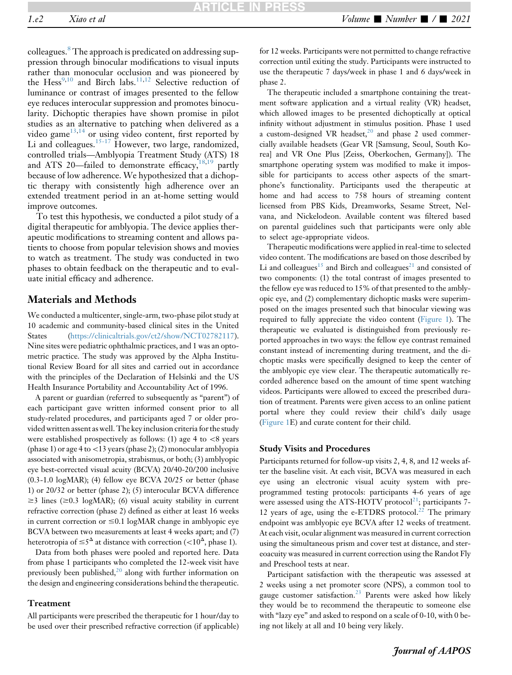colleagues.[8](#page-5-5) The approach is predicated on addressing suppression through binocular modifications to visual inputs rather than monocular occlusion and was pioneered by the Hess<sup>[9](#page-5-6)[,10](#page-5-7)</sup> and Birch labs.<sup>[11,](#page-5-8)[12](#page-5-9)</sup> Selective reduction of luminance or contrast of images presented to the fellow eye reduces interocular suppression and promotes binocularity. Dichoptic therapies have shown promise in pilot studies as an alternative to patching when delivered as a video game $13,14$  $13,14$  or using video content, first reported by Li and colleagues.<sup>[15-17](#page-5-12)</sup> However, two large, randomized, controlled trials—Amblyopia Treatment Study (ATS) 18 and ATS 20—failed to demonstrate efficacy, $18,19$  $18,19$  partly because of low adherence. We hypothesized that a dichoptic therapy with consistently high adherence over an extended treatment period in an at-home setting would improve outcomes.

To test this hypothesis, we conducted a pilot study of a digital therapeutic for amblyopia. The device applies therapeutic modifications to streaming content and allows patients to choose from popular television shows and movies to watch as treatment. The study was conducted in two phases to obtain feedback on the therapeutic and to evaluate initial efficacy and adherence.

# Materials and Methods

We conducted a multicenter, single-arm, two-phase pilot study at 10 academic and community-based clinical sites in the United States (<https://clinicaltrials.gov/ct2/show/NCT02782117>). Nine sites were pediatric ophthalmic practices, and 1 was an optometric practice. The study was approved by the Alpha Institutional Review Board for all sites and carried out in accordance with the principles of the Declaration of Helsinki and the US Health Insurance Portability and Accountability Act of 1996.

A parent or guardian (referred to subsequently as "parent") of each participant gave written informed consent prior to all study-related procedures, and participants aged 7 or older provided written assent as well. The key inclusion criteria for the study were established prospectively as follows: (1) age 4 to  $\lt 8$  years (phase 1) or age 4 to  $<$  13 years (phase 2); (2) monocular amblyopia associated with anisometropia, strabismus, or both; (3) amblyopic eye best-corrected visual acuity (BCVA) 20/40-20/200 inclusive (0.3-1.0 logMAR); (4) fellow eye BCVA 20/25 or better (phase 1) or 20/32 or better (phase 2); (5) interocular BCVA difference  $\geq$ 3 lines ( $\geq$ 0.3 logMAR); (6) visual acuity stability in current refractive correction (phase 2) defined as either at least 16 weeks in current correction or  $\leq 0.1$  logMAR change in amblyopic eye BCVA between two measurements at least 4 weeks apart; and (7) heterotropia of  $\leq 5^{\Delta}$  at distance with correction ( $\lt 10^{\Delta}$ , phase 1).

Data from both phases were pooled and reported here. Data from phase 1 participants who completed the 12-week visit have previously been published, $^{20}$  $^{20}$  $^{20}$  along with further information on the design and engineering considerations behind the therapeutic.

#### Treatment

All participants were prescribed the therapeutic for 1 hour/day to be used over their prescribed refractive correction (if applicable) for 12 weeks. Participants were not permitted to change refractive correction until exiting the study. Participants were instructed to use the therapeutic 7 days/week in phase 1 and 6 days/week in phase 2.

The therapeutic included a smartphone containing the treatment software application and a virtual reality (VR) headset, which allowed images to be presented dichoptically at optical infinity without adjustment in stimulus position. Phase 1 used a custom-designed VR headset, $20$  and phase 2 used commercially available headsets (Gear VR [Samsung, Seoul, South Korea] and VR One Plus [Zeiss, Oberkochen, Germany]). The smartphone operating system was modified to make it impossible for participants to access other aspects of the smartphone's functionality. Participants used the therapeutic at home and had access to 758 hours of streaming content licensed from PBS Kids, Dreamworks, Sesame Street, Nelvana, and Nickelodeon. Available content was filtered based on parental guidelines such that participants were only able to select age-appropriate videos.

Therapeutic modifications were applied in real-time to selected video content. The modifications are based on those described by Li and colleagues<sup>[15](#page-5-12)</sup> and Birch and colleagues<sup>[21](#page-5-16)</sup> and consisted of two components: (1) the total contrast of images presented to the fellow eye was reduced to 15% of that presented to the amblyopic eye, and (2) complementary dichoptic masks were superimposed on the images presented such that binocular viewing was required to fully appreciate the video content ([Figure 1](#page-2-0)). The therapeutic we evaluated is distinguished from previously reported approaches in two ways: the fellow eye contrast remained constant instead of incrementing during treatment, and the dichoptic masks were specifically designed to keep the center of the amblyopic eye view clear. The therapeutic automatically recorded adherence based on the amount of time spent watching videos. Participants were allowed to exceed the prescribed duration of treatment. Parents were given access to an online patient portal where they could review their child's daily usage ([Figure 1](#page-2-0)E) and curate content for their child.

#### Study Visits and Procedures

Participants returned for follow-up visits 2, 4, 8, and 12 weeks after the baseline visit. At each visit, BCVA was measured in each eye using an electronic visual acuity system with preprogrammed testing protocols: participants 4-6 years of age were assessed using the ATS-HOTV protocol<sup>21</sup>; participants 7-12 years of age, using the e-ETDRS protocol.<sup>[22](#page-5-17)</sup> The primary endpoint was amblyopic eye BCVA after 12 weeks of treatment. At each visit, ocular alignment was measured in current correction using the simultaneous prism and cover test at distance, and stereoacuity was measured in current correction using the Randot Fly and Preschool tests at near.

Participant satisfaction with the therapeutic was assessed at 2 weeks using a net promoter score (NPS), a common tool to gauge customer satisfaction.<sup>[23](#page-5-18)</sup> Parents were asked how likely they would be to recommend the therapeutic to someone else with "lazy eye" and asked to respond on a scale of 0-10, with 0 being not likely at all and 10 being very likely.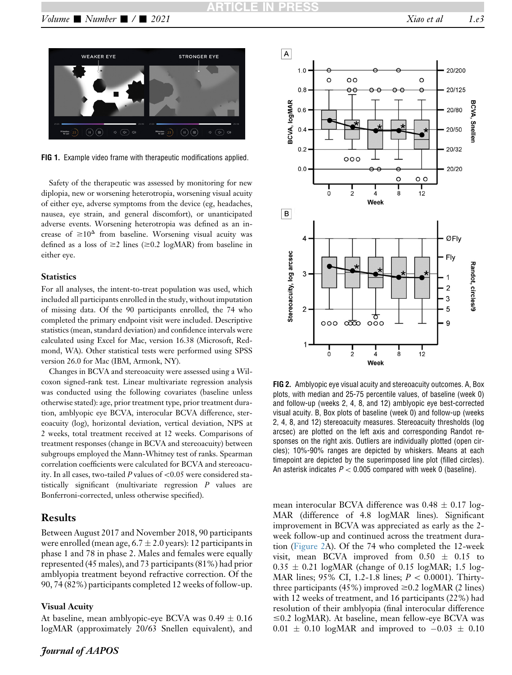<span id="page-2-0"></span>

FIG 1. Example video frame with therapeutic modifications applied.

Safety of the therapeutic was assessed by monitoring for new diplopia, new or worsening heterotropia, worsening visual acuity of either eye, adverse symptoms from the device (eg, headaches, nausea, eye strain, and general discomfort), or unanticipated adverse events. Worsening heterotropia was defined as an increase of  $\geq 10^{\Delta}$  from baseline. Worsening visual acuity was defined as a loss of  $\geq$  lines ( $\geq$  0.2 logMAR) from baseline in either eye.

#### **Statistics**

For all analyses, the intent-to-treat population was used, which included all participants enrolled in the study, without imputation of missing data. Of the 90 participants enrolled, the 74 who completed the primary endpoint visit were included. Descriptive statistics (mean, standard deviation) and confidence intervals were calculated using Excel for Mac, version 16.38 (Microsoft, Redmond, WA). Other statistical tests were performed using SPSS version 26.0 for Mac (IBM, Armonk, NY).

Changes in BCVA and stereoacuity were assessed using a Wilcoxon signed-rank test. Linear multivariate regression analysis was conducted using the following covariates (baseline unless otherwise stated): age, prior treatment type, prior treatment duration, amblyopic eye BCVA, interocular BCVA difference, stereoacuity (log), horizontal deviation, vertical deviation, NPS at 2 weeks, total treatment received at 12 weeks. Comparisons of treatment responses (change in BCVA and stereoacuity) between subgroups employed the Mann-Whitney test of ranks. Spearman correlation coefficients were calculated for BCVA and stereoacuity. In all cases, two-tailed P values of  $< 0.05$  were considered statistically significant (multivariate regression P values are Bonferroni-corrected, unless otherwise specified).

### Results

Between August 2017 and November 2018, 90 participants were enrolled (mean age,  $6.7 \pm 2.0$  years): 12 participants in phase 1 and 78 in phase 2. Males and females were equally represented (45 males), and 73 participants (81%) had prior amblyopia treatment beyond refractive correction. Of the 90, 74 (82%) participants completed 12 weeks of follow-up.

### Visual Acuity

At baseline, mean amblyopic-eye BCVA was  $0.49 \pm 0.16$ logMAR (approximately 20/63 Snellen equivalent), and

<span id="page-2-1"></span>

FIG 2. Amblyopic eye visual acuity and stereoacuity outcomes. A, Box plots, with median and 25-75 percentile values, of baseline (week 0) and follow-up (weeks 2, 4, 8, and 12) amblyopic eye best-corrected visual acuity. B, Box plots of baseline (week 0) and follow-up (weeks 2, 4, 8, and 12) stereoacuity measures. Stereoacuity thresholds (log arcsec) are plotted on the left axis and corresponding Randot responses on the right axis. Outliers are individually plotted (open circles); 10%-90% ranges are depicted by whiskers. Means at each timepoint are depicted by the superimposed line plot (filled circles). An asterisk indicates  $P < 0.005$  compared with week 0 (baseline).

mean interocular BCVA difference was  $0.48 \pm 0.17$  log-MAR (difference of 4.8 logMAR lines). Significant improvement in BCVA was appreciated as early as the 2 week follow-up and continued across the treatment duration ([Figure 2](#page-2-1)A). Of the 74 who completed the 12-week visit, mean BCVA improved from  $0.50 \pm 0.15$  to  $0.35 \pm 0.21$  logMAR (change of 0.15 logMAR; 1.5 log-MAR lines; 95% CI, 1.2-1.8 lines;  $P < 0.0001$ ). Thirtythree participants (45%) improved  $\geq 0.2$  logMAR (2 lines) with 12 weeks of treatment, and 16 participants (22%) had resolution of their amblyopia (final interocular difference  $\leq$ 0.2 logMAR). At baseline, mean fellow-eye BCVA was  $0.01 \pm 0.10$  logMAR and improved to  $-0.03 \pm 0.10$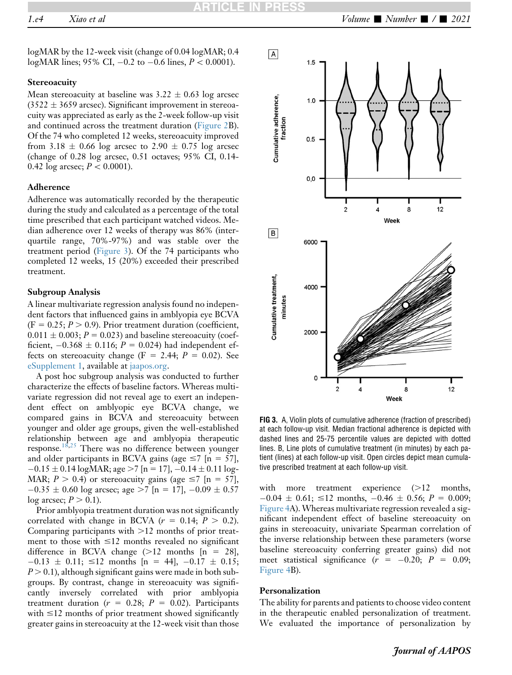logMAR by the 12-week visit (change of 0.04 logMAR; 0.4 logMAR lines; 95% CI,  $-0.2$  to  $-0.6$  lines,  $P < 0.0001$ ).

#### **Stereoacuity**

Mean stereoacuity at baseline was  $3.22 \pm 0.63$  log arcsec  $(3522 \pm 3659 \text{ arcsec})$ . Significant improvement in stereoacuity was appreciated as early as the 2-week follow-up visit and continued across the treatment duration ([Figure 2](#page-2-1)B). Of the 74 who completed 12 weeks, stereoacuity improved from 3.18  $\pm$  0.66 log arcsec to 2.90  $\pm$  0.75 log arcsec (change of 0.28 log arcsec, 0.51 octaves; 95% CI, 0.14- 0.42 log arcsec;  $P < 0.0001$ ).

# Adherence

Adherence was automatically recorded by the therapeutic during the study and calculated as a percentage of the total time prescribed that each participant watched videos. Median adherence over 12 weeks of therapy was 86% (interquartile range, 70%-97%) and was stable over the treatment period ([Figure 3\)](#page-3-0). Of the 74 participants who completed 12 weeks, 15 (20%) exceeded their prescribed treatment.

#### Subgroup Analysis

A linear multivariate regression analysis found no independent factors that influenced gains in amblyopia eye BCVA  $(F = 0.25; P > 0.9)$ . Prior treatment duration (coefficient,  $0.011 \pm 0.003$ ;  $P = 0.023$ ) and baseline stereoacuity (coefficient,  $-0.368 \pm 0.116$ ;  $P = 0.024$ ) had independent effects on stereoacuity change (F = 2.44;  $P = 0.02$ ). See eSupplement 1, available at [jaapos.org.](http://jaapos.org)

A post hoc subgroup analysis was conducted to further characterize the effects of baseline factors. Whereas multivariate regression did not reveal age to exert an independent effect on amblyopic eye BCVA change, we compared gains in BCVA and stereoacuity between younger and older age groups, given the well-established relationship between age and amblyopia therapeutic response.[18](#page-5-13)[,25](#page-5-19) There was no difference between younger and older participants in BCVA gains (age  $\leq 7$  [n = 57],  $-0.15 \pm 0.14 \log \text{MAR}$ ; age  $>7$  [n = 17],  $-0.14 \pm 0.11 \log -$ MAR;  $P > 0.4$ ) or stereoacuity gains (age  $\leq 7$  [n = 57],  $-0.35 \pm 0.60$  log arcsec; age  $>7$  [n = 17],  $-0.09 \pm 0.57$ log arcsec;  $P > 0.1$ ).

Prior amblyopia treatment duration was not significantly correlated with change in BCVA ( $r = 0.14$ ;  $P > 0.2$ ). Comparing participants with  $>12$  months of prior treatment to those with  $\leq 12$  months revealed no significant difference in BCVA change  $(>12$  months  $[n = 28]$ ,  $-0.13 \pm 0.11$ ;  $\leq 12$  months [n = 44],  $-0.17 \pm 0.15$ ;  $P > 0.1$ ), although significant gains were made in both subgroups. By contrast, change in stereoacuity was significantly inversely correlated with prior amblyopia treatment duration ( $r = 0.28$ ;  $P = 0.02$ ). Participants with  $\leq$ 12 months of prior treatment showed significantly greater gains in stereoacuity at the 12-week visit than those

<span id="page-3-0"></span>

FIG 3. A, Violin plots of cumulative adherence (fraction of prescribed) at each follow-up visit. Median fractional adherence is depicted with dashed lines and 25-75 percentile values are depicted with dotted lines. B, Line plots of cumulative treatment (in minutes) by each patient (lines) at each follow-up visit. Open circles depict mean cumulative prescribed treatment at each follow-up visit.

with more treatment experience  $(>12$  months,  $-0.04 \pm 0.61$ ;  $\leq 12$  months,  $-0.46 \pm 0.56$ ;  $P = 0.009$ ; [Figure 4](#page-4-0)A). Whereas multivariate regression revealed a significant independent effect of baseline stereoacuity on gains in stereoacuity, univariate Spearman correlation of the inverse relationship between these parameters (worse baseline stereoacuity conferring greater gains) did not meet statistical significance  $(r = -0.20; P = 0.09;$ [Figure 4](#page-4-0)B).

#### Personalization

The ability for parents and patients to choose video content in the therapeutic enabled personalization of treatment. We evaluated the importance of personalization by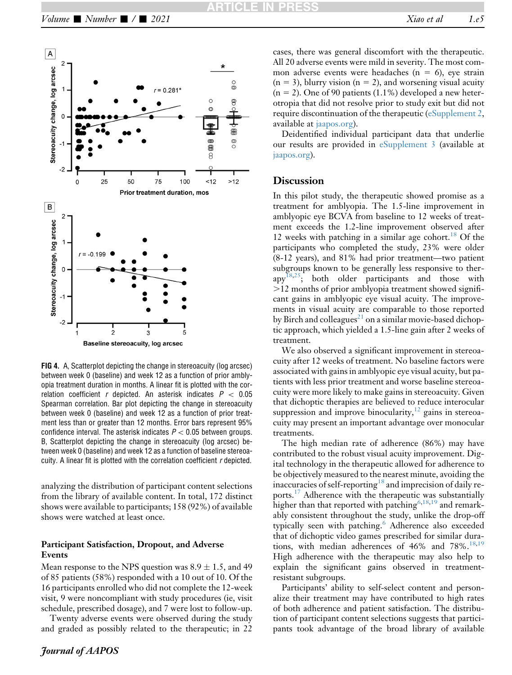<span id="page-4-0"></span>

FIG 4. A, Scatterplot depicting the change in stereoacuity (log arcsec) between week 0 (baseline) and week 12 as a function of prior amblyopia treatment duration in months. A linear fit is plotted with the correlation coefficient r depicted. An asterisk indicates  $P < 0.05$ Spearman correlation. Bar plot depicting the change in stereoacuity between week 0 (baseline) and week 12 as a function of prior treatment less than or greater than 12 months. Error bars represent 95% confidence interval. The asterisk indicates  $P < 0.05$  between groups. B, Scatterplot depicting the change in stereoacuity (log arcsec) between week 0 (baseline) and week 12 as a function of baseline stereoacuity. A linear fit is plotted with the correlation coefficient r depicted.

analyzing the distribution of participant content selections from the library of available content. In total, 172 distinct shows were available to participants; 158 (92%) of available shows were watched at least once.

### Participant Satisfaction, Dropout, and Adverse Events

Mean response to the NPS question was  $8.9 \pm 1.5$ , and 49 of 85 patients (58%) responded with a 10 out of 10. Of the 16 participants enrolled who did not complete the 12-week visit, 9 were noncompliant with study procedures (ie, visit schedule, prescribed dosage), and 7 were lost to follow-up.

Twenty adverse events were observed during the study and graded as possibly related to the therapeutic; in 22

cases, there was general discomfort with the therapeutic. All 20 adverse events were mild in severity. The most common adverse events were headaches ( $n = 6$ ), eye strain  $(n = 3)$ , blurry vision  $(n = 2)$ , and worsening visual acuity  $(n = 2)$ . One of 90 patients (1.1%) developed a new heterotropia that did not resolve prior to study exit but did not require discontinuation of the therapeutic (eSupplement 2, available at [jaapos.org\)](http://jaapos.org).

Deidentified individual participant data that underlie our results are provided in eSupplement 3 (available at [jaapos.org\)](http://jaapos.org).

# **Discussion**

In this pilot study, the therapeutic showed promise as a treatment for amblyopia. The 1.5-line improvement in amblyopic eye BCVA from baseline to 12 weeks of treatment exceeds the 1.2-line improvement observed after 12 weeks with patching in a similar age cohort.<sup>[18](#page-5-13)</sup> Of the participants who completed the study, 23% were older (8-12 years), and 81% had prior treatment—two patient subgroups known to be generally less responsive to ther- $app<sup>18,25</sup>$  $app<sup>18,25</sup>$  $app<sup>18,25</sup>$  $app<sup>18,25</sup>$ ; both older participants and those with .12 months of prior amblyopia treatment showed significant gains in amblyopic eye visual acuity. The improvements in visual acuity are comparable to those reported by Birch and colleagues<sup>[21](#page-5-16)</sup> on a similar movie-based dichoptic approach, which yielded a 1.5-line gain after 2 weeks of treatment.

We also observed a significant improvement in stereoacuity after 12 weeks of treatment. No baseline factors were associated with gains in amblyopic eye visual acuity, but patients with less prior treatment and worse baseline stereoacuity were more likely to make gains in stereoacuity. Given that dichoptic therapies are believed to reduce interocular suppression and improve binocularity,  $^{12}$  $^{12}$  $^{12}$  gains in stereoacuity may present an important advantage over monocular treatments.

The high median rate of adherence (86%) may have contributed to the robust visual acuity improvement. Digital technology in the therapeutic allowed for adherence to be objectively measured to the nearest minute, avoiding the inaccuracies of self-reporting<sup>[18](#page-5-13)</sup> and imprecision of daily reports.<sup>17</sup> Adherence with the therapeutic was substantially higher than that reported with patching<sup>6[,18,](#page-5-13)[19](#page-5-14)</sup> and remarkably consistent throughout the study, unlike the drop-off typically seen with patching.<sup>[6](#page-5-3)</sup> Adherence also exceeded that of dichoptic video games prescribed for similar durations, with median adherences of  $46\%$  and  $78\%$ .<sup>[18](#page-5-13)[,19](#page-5-14)</sup> High adherence with the therapeutic may also help to explain the significant gains observed in treatmentresistant subgroups.

Participants' ability to self-select content and personalize their treatment may have contributed to high rates of both adherence and patient satisfaction. The distribution of participant content selections suggests that participants took advantage of the broad library of available